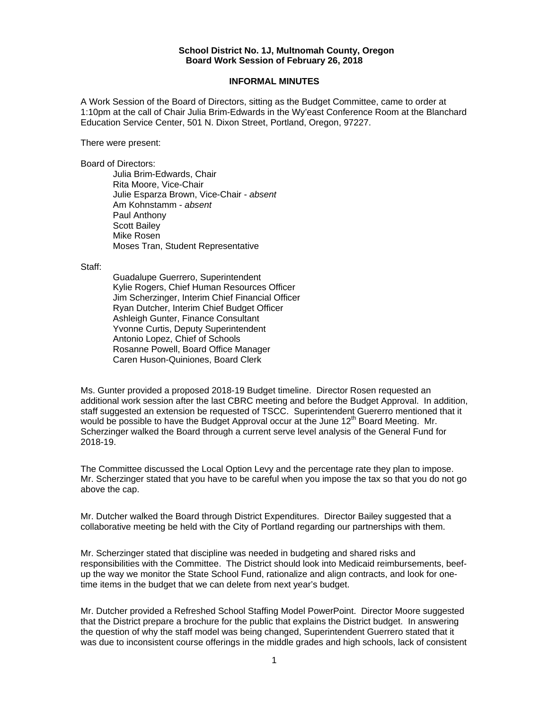## **School District No. 1J, Multnomah County, Oregon Board Work Session of February 26, 2018**

## **INFORMAL MINUTES**

A Work Session of the Board of Directors, sitting as the Budget Committee, came to order at 1:10pm at the call of Chair Julia Brim-Edwards in the Wy'east Conference Room at the Blanchard Education Service Center, 501 N. Dixon Street, Portland, Oregon, 97227.

There were present:

Board of Directors:

Julia Brim-Edwards, Chair Rita Moore, Vice-Chair Julie Esparza Brown, Vice-Chair - *absent*  Am Kohnstamm - *absent*  Paul Anthony Scott Bailey Mike Rosen Moses Tran, Student Representative

Staff:

 Guadalupe Guerrero, Superintendent Kylie Rogers, Chief Human Resources Officer Jim Scherzinger, Interim Chief Financial Officer Ryan Dutcher, Interim Chief Budget Officer Ashleigh Gunter, Finance Consultant Yvonne Curtis, Deputy Superintendent Antonio Lopez, Chief of Schools Rosanne Powell, Board Office Manager Caren Huson-Quiniones, Board Clerk

Ms. Gunter provided a proposed 2018-19 Budget timeline. Director Rosen requested an additional work session after the last CBRC meeting and before the Budget Approval. In addition, staff suggested an extension be requested of TSCC. Superintendent Guererro mentioned that it would be possible to have the Budget Approval occur at the June  $12<sup>th</sup>$  Board Meeting. Mr. Scherzinger walked the Board through a current serve level analysis of the General Fund for 2018-19.

The Committee discussed the Local Option Levy and the percentage rate they plan to impose. Mr. Scherzinger stated that you have to be careful when you impose the tax so that you do not go above the cap.

Mr. Dutcher walked the Board through District Expenditures. Director Bailey suggested that a collaborative meeting be held with the City of Portland regarding our partnerships with them.

Mr. Scherzinger stated that discipline was needed in budgeting and shared risks and responsibilities with the Committee. The District should look into Medicaid reimbursements, beefup the way we monitor the State School Fund, rationalize and align contracts, and look for onetime items in the budget that we can delete from next year's budget.

Mr. Dutcher provided a Refreshed School Staffing Model PowerPoint. Director Moore suggested that the District prepare a brochure for the public that explains the District budget. In answering the question of why the staff model was being changed, Superintendent Guerrero stated that it was due to inconsistent course offerings in the middle grades and high schools, lack of consistent